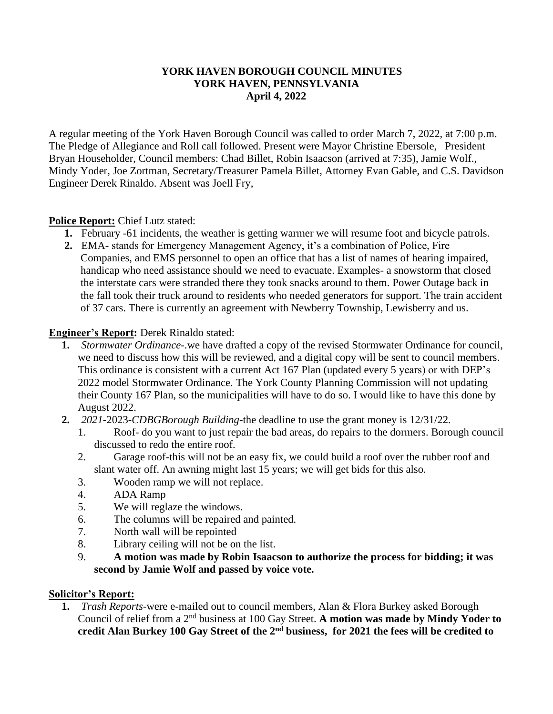#### **YORK HAVEN BOROUGH COUNCIL MINUTES YORK HAVEN, PENNSYLVANIA April 4, 2022**

A regular meeting of the York Haven Borough Council was called to order March 7, 2022, at 7:00 p.m. The Pledge of Allegiance and Roll call followed. Present were Mayor Christine Ebersole, President Bryan Householder, Council members: Chad Billet, Robin Isaacson (arrived at 7:35), Jamie Wolf., Mindy Yoder, Joe Zortman, Secretary/Treasurer Pamela Billet, Attorney Evan Gable, and C.S. Davidson Engineer Derek Rinaldo. Absent was Joell Fry,

## **Police Report:** Chief Lutz stated:

- **1.** February -61 incidents, the weather is getting warmer we will resume foot and bicycle patrols.
- **2.** EMA- stands for Emergency Management Agency, it's a combination of Police, Fire Companies, and EMS personnel to open an office that has a list of names of hearing impaired, handicap who need assistance should we need to evacuate. Examples- a snowstorm that closed the interstate cars were stranded there they took snacks around to them. Power Outage back in the fall took their truck around to residents who needed generators for support. The train accident of 37 cars. There is currently an agreement with Newberry Township, Lewisberry and us.

### **Engineer's Report:** Derek Rinaldo stated:

- **1.** *Stormwater Ordinance-*.we have drafted a copy of the revised Stormwater Ordinance for council, we need to discuss how this will be reviewed, and a digital copy will be sent to council members. This ordinance is consistent with a current Act 167 Plan (updated every 5 years) or with DEP's 2022 model Stormwater Ordinance. The York County Planning Commission will not updating their County 167 Plan, so the municipalities will have to do so. I would like to have this done by August 2022.
- **2.** *2021-*2023-*CDBGBorough Building-*the deadline to use the grant money is 12/31/22.
	- 1. Roof- do you want to just repair the bad areas, do repairs to the dormers. Borough council discussed to redo the entire roof.
	- 2. Garage roof-this will not be an easy fix, we could build a roof over the rubber roof and slant water off. An awning might last 15 years; we will get bids for this also.
	- 3. Wooden ramp we will not replace.
	- 4. ADA Ramp
	- 5. We will reglaze the windows.
	- 6. The columns will be repaired and painted.
	- 7. North wall will be repointed
	- 8. Library ceiling will not be on the list.
	- 9. **A motion was made by Robin Isaacson to authorize the process for bidding; it was second by Jamie Wolf and passed by voice vote.**

### **Solicitor's Report:**

**1.** *Trash Reports-*were e-mailed out to council members, Alan & Flora Burkey asked Borough Council of relief from a 2nd business at 100 Gay Street. **A motion was made by Mindy Yoder to credit Alan Burkey 100 Gay Street of the 2nd business, for 2021 the fees will be credited to**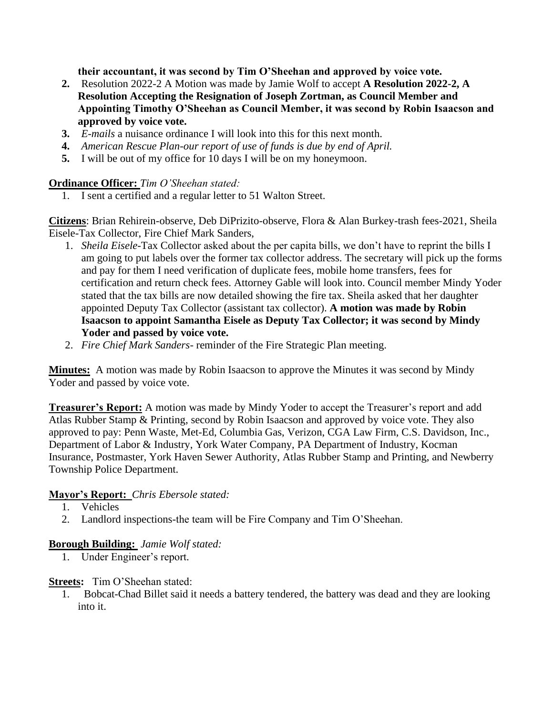**their accountant, it was second by Tim O'Sheehan and approved by voice vote.** 

- **2.** Resolution 2022-2 A Motion was made by Jamie Wolf to accept **A Resolution 2022-2, A Resolution Accepting the Resignation of Joseph Zortman, as Council Member and Appointing Timothy O'Sheehan as Council Member, it was second by Robin Isaacson and approved by voice vote.**
- **3.** *E-mails* a nuisance ordinance I will look into this for this next month.
- **4.** *American Rescue Plan-our report of use of funds is due by end of April.*
- **5.** I will be out of my office for 10 days I will be on my honeymoon.

### **Ordinance Officer:** *Tim O'Sheehan stated:*

1. I sent a certified and a regular letter to 51 Walton Street.

**Citizens**: Brian Rehirein-observe, Deb DiPrizito-observe, Flora & Alan Burkey-trash fees-2021, Sheila Eisele-Tax Collector, Fire Chief Mark Sanders,

- 1. *Sheila Eisele-*Tax Collector asked about the per capita bills, we don't have to reprint the bills I am going to put labels over the former tax collector address. The secretary will pick up the forms and pay for them I need verification of duplicate fees, mobile home transfers, fees for certification and return check fees. Attorney Gable will look into. Council member Mindy Yoder stated that the tax bills are now detailed showing the fire tax. Sheila asked that her daughter appointed Deputy Tax Collector (assistant tax collector). **A motion was made by Robin Isaacson to appoint Samantha Eisele as Deputy Tax Collector; it was second by Mindy Yoder and passed by voice vote.**
- 2. *Fire Chief Mark Sanders-* reminder of the Fire Strategic Plan meeting.

**Minutes:** A motion was made by Robin Isaacson to approve the Minutes it was second by Mindy Yoder and passed by voice vote.

**Treasurer's Report:** A motion was made by Mindy Yoder to accept the Treasurer's report and add Atlas Rubber Stamp & Printing, second by Robin Isaacson and approved by voice vote. They also approved to pay: Penn Waste, Met-Ed, Columbia Gas, Verizon, CGA Law Firm, C.S. Davidson, Inc., Department of Labor & Industry, York Water Company, PA Department of Industry, Kocman Insurance, Postmaster, York Haven Sewer Authority, Atlas Rubber Stamp and Printing, and Newberry Township Police Department.

### **Mayor's Report:** *Chris Ebersole stated:*

- 1. Vehicles
- 2. Landlord inspections-the team will be Fire Company and Tim O'Sheehan.

# **Borough Building:** *Jamie Wolf stated:*

1. Under Engineer's report.

### **Streets:** Tim O'Sheehan stated:

1. Bobcat-Chad Billet said it needs a battery tendered, the battery was dead and they are looking into it.